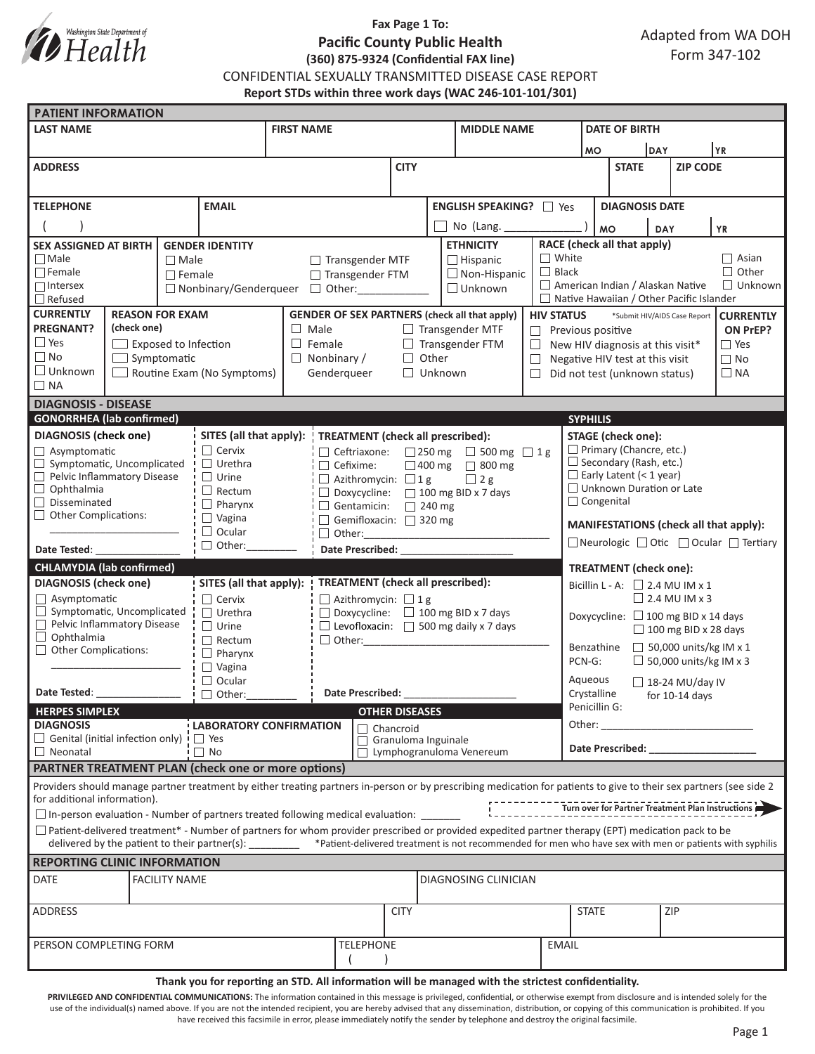

# **Fax Page 1 To: Pacific County Public Health (360) 875-9324 (Confidential FAX line)**

Adapted from WA DOH Form 347-102

CONFIDENTIAL SEXUALLY TRANSMITTED DISEASE CASE REPORT

**Report STDs within three work days (WAC 246-101-101/301)**

| <b>PATIENT INFORMATION</b>                                                                                                                                          |                                                                                                                                                |                             |                                                              |                                                                                                         |                                                   |                                                        |                         |  |                                                                                                         |                                                                       |                                                                                   |                                                                                                                |                        |                 |  |  |
|---------------------------------------------------------------------------------------------------------------------------------------------------------------------|------------------------------------------------------------------------------------------------------------------------------------------------|-----------------------------|--------------------------------------------------------------|---------------------------------------------------------------------------------------------------------|---------------------------------------------------|--------------------------------------------------------|-------------------------|--|---------------------------------------------------------------------------------------------------------|-----------------------------------------------------------------------|-----------------------------------------------------------------------------------|----------------------------------------------------------------------------------------------------------------|------------------------|-----------------|--|--|
| <b>LAST NAME</b>                                                                                                                                                    |                                                                                                                                                |                             |                                                              | <b>FIRST NAME</b>                                                                                       |                                                   |                                                        |                         |  | <b>MIDDLE NAME</b>                                                                                      |                                                                       |                                                                                   | <b>DATE OF BIRTH</b>                                                                                           |                        |                 |  |  |
|                                                                                                                                                                     |                                                                                                                                                |                             |                                                              |                                                                                                         |                                                   |                                                        |                         |  |                                                                                                         | <b>MO</b>                                                             |                                                                                   | DAY                                                                                                            | YR                     |                 |  |  |
| <b>ADDRESS</b>                                                                                                                                                      |                                                                                                                                                |                             |                                                              |                                                                                                         |                                                   |                                                        | <b>CITY</b>             |  |                                                                                                         |                                                                       |                                                                                   | <b>STATE</b>                                                                                                   |                        | <b>ZIP CODE</b> |  |  |
|                                                                                                                                                                     |                                                                                                                                                |                             |                                                              |                                                                                                         |                                                   |                                                        |                         |  |                                                                                                         |                                                                       |                                                                                   |                                                                                                                |                        |                 |  |  |
| <b>EMAIL</b><br><b>TELEPHONE</b>                                                                                                                                    |                                                                                                                                                |                             |                                                              |                                                                                                         |                                                   |                                                        | ENGLISH SPEAKING?   Yes |  |                                                                                                         |                                                                       | <b>DIAGNOSIS DATE</b>                                                             |                                                                                                                |                        |                 |  |  |
|                                                                                                                                                                     |                                                                                                                                                |                             |                                                              |                                                                                                         |                                                   |                                                        | No (Lang.               |  |                                                                                                         |                                                                       | <b>YR</b><br><b>DAY</b>                                                           |                                                                                                                |                        |                 |  |  |
| <b>SEX ASSIGNED AT BIRTH</b><br><b>GENDER IDENTITY</b>                                                                                                              |                                                                                                                                                |                             |                                                              |                                                                                                         |                                                   |                                                        | <b>ETHNICITY</b>        |  |                                                                                                         | <b>MO</b><br>RACE (check all that apply)                              |                                                                                   |                                                                                                                |                        |                 |  |  |
| $\Box$ Male<br>$\Box$ Male                                                                                                                                          |                                                                                                                                                |                             |                                                              | $\Box$ Transgender MTF<br>$\Box$ Hispanic                                                               |                                                   |                                                        |                         |  |                                                                                                         | $\Box$ White                                                          | $\Box$ Asian                                                                      |                                                                                                                |                        |                 |  |  |
| $\Box$ Female                                                                                                                                                       |                                                                                                                                                | $\Box$ Female               |                                                              |                                                                                                         | □ Transgender FTM                                 |                                                        |                         |  | $\Box$ Non-Hispanic                                                                                     |                                                                       | $\Box$ Black<br>$\Box$ Other                                                      |                                                                                                                |                        |                 |  |  |
| $\Box$ Intersex                                                                                                                                                     |                                                                                                                                                |                             | $\Box$ Unknown<br>$\Box$ Nonbinary/Genderqueer $\Box$ Other: |                                                                                                         |                                                   |                                                        |                         |  |                                                                                                         | American Indian / Alaskan Native<br>$\Box$ Unknown                    |                                                                                   |                                                                                                                |                        |                 |  |  |
| $\Box$ Refused<br><b>CURRENTLY</b><br><b>REASON FOR EXAM</b>                                                                                                        |                                                                                                                                                |                             |                                                              |                                                                                                         |                                                   |                                                        |                         |  |                                                                                                         | $\Box$ Native Hawaiian / Other Pacific Islander                       |                                                                                   |                                                                                                                |                        |                 |  |  |
| <b>PREGNANT?</b>                                                                                                                                                    | (check one)                                                                                                                                    |                             |                                                              | <b>GENDER OF SEX PARTNERS (check all that apply)</b><br>$\Box$ Male<br>$\Box$ Transgender MTF<br>$\Box$ |                                                   |                                                        |                         |  |                                                                                                         | <b>HIV STATUS</b>                                                     | *Submit HIV/AIDS Case Report<br><b>CURRENTLY</b><br>ON PrEP?<br>Previous positive |                                                                                                                |                        |                 |  |  |
| $\Box$ Yes                                                                                                                                                          |                                                                                                                                                | $\Box$ Exposed to Infection |                                                              |                                                                                                         | $\Box$ Female<br>$\Box$ Transgender FTM           |                                                        |                         |  |                                                                                                         | $\Box$ Yes<br>$\Box$<br>New HIV diagnosis at this visit*              |                                                                                   |                                                                                                                |                        |                 |  |  |
| $\Box$ No                                                                                                                                                           | $\Box$ Symptomatic                                                                                                                             |                             |                                                              |                                                                                                         | $\Box$ Other<br>$\Box$ Nonbinary /                |                                                        |                         |  |                                                                                                         | $\Box$                                                                | $\Box$ No<br>Negative HIV test at this visit                                      |                                                                                                                |                        |                 |  |  |
| $\Box$ Unknown<br>Routine Exam (No Symptoms)                                                                                                                        |                                                                                                                                                |                             |                                                              | Genderqueer<br>$\Box$ Unknown<br>П                                                                      |                                                   |                                                        |                         |  |                                                                                                         |                                                                       | Did not test (unknown status)<br>$\Box$ NA                                        |                                                                                                                |                        |                 |  |  |
| $\Box$ NA                                                                                                                                                           |                                                                                                                                                |                             |                                                              |                                                                                                         |                                                   |                                                        |                         |  |                                                                                                         |                                                                       |                                                                                   |                                                                                                                |                        |                 |  |  |
| <b>DIAGNOSIS - DISEASE</b>                                                                                                                                          |                                                                                                                                                |                             |                                                              |                                                                                                         |                                                   |                                                        |                         |  |                                                                                                         |                                                                       |                                                                                   |                                                                                                                |                        |                 |  |  |
| <b>GONORRHEA</b> (lab confirmed)                                                                                                                                    |                                                                                                                                                |                             |                                                              |                                                                                                         |                                                   |                                                        |                         |  |                                                                                                         | <b>SYPHILIS</b>                                                       |                                                                                   |                                                                                                                |                        |                 |  |  |
| <b>DIAGNOSIS</b> (check one)<br>$\Box$ Asymptomatic                                                                                                                 |                                                                                                                                                |                             | $\Box$ Cervix                                                | SITES (all that apply):                                                                                 |                                                   |                                                        |                         |  | <b>TREATMENT</b> (check all prescribed):                                                                |                                                                       |                                                                                   | <b>STAGE</b> (check one):                                                                                      |                        |                 |  |  |
| Symptomatic, Uncomplicated<br>$\Box$                                                                                                                                |                                                                                                                                                |                             | $\Box$ Urethra                                               | □ 250 mg □ 500 mg □ 1g<br>$\Box$ Ceftriaxone:<br>$\Box$ 400 mg $\Box$ 800 mg<br>$\Box$ Cefixime:        |                                                   |                                                        |                         |  |                                                                                                         |                                                                       | Primary (Chancre, etc.)<br>$\Box$ Secondary (Rash, etc.)                          |                                                                                                                |                        |                 |  |  |
| $\Box$ Pelvic Inflammatory Disease<br>$\Box$ Urine                                                                                                                  |                                                                                                                                                |                             |                                                              | $\Box$ Azithromycin: $\Box$ 1 g<br>$\Box$ 2 g                                                           |                                                   |                                                        |                         |  |                                                                                                         |                                                                       | $\Box$ Early Latent (< 1 year)                                                    |                                                                                                                |                        |                 |  |  |
| $\Box$ Ophthalmia<br>$\Box$ Rectum                                                                                                                                  |                                                                                                                                                |                             |                                                              | $\Box$ Doxycycline: $\Box$ 100 mg BID x 7 days                                                          |                                                   |                                                        |                         |  |                                                                                                         |                                                                       | $\Box$ Unknown Duration or Late                                                   |                                                                                                                |                        |                 |  |  |
| $\Box$ Disseminated<br>$\Box$ Pharynx<br>$\Box$ Other Complications:                                                                                                |                                                                                                                                                |                             |                                                              | Gentamicin: $\Box$ 240 mg                                                                               |                                                   |                                                        |                         |  |                                                                                                         |                                                                       | $\Box$ Congenital                                                                 |                                                                                                                |                        |                 |  |  |
| $\Box$ Vagina                                                                                                                                                       |                                                                                                                                                |                             | $\Box$ Ocular                                                | Gemifloxacin: 320 mg<br>$\Box$ Other:                                                                   |                                                   |                                                        |                         |  |                                                                                                         |                                                                       | MANIFESTATIONS (check all that apply):                                            |                                                                                                                |                        |                 |  |  |
| $\Box$ Other:<br>Date Tested:                                                                                                                                       |                                                                                                                                                |                             |                                                              | <b>Date Prescribed:</b>                                                                                 |                                                   |                                                        |                         |  |                                                                                                         |                                                                       | □ Neurologic □ Otic □ Ocular □ Tertiary                                           |                                                                                                                |                        |                 |  |  |
| <b>CHLAMYDIA (lab confirmed)</b>                                                                                                                                    |                                                                                                                                                |                             |                                                              |                                                                                                         |                                                   |                                                        |                         |  |                                                                                                         |                                                                       |                                                                                   |                                                                                                                |                        |                 |  |  |
| SITES (all that apply):<br><b>DIAGNOSIS</b> (check one)                                                                                                             |                                                                                                                                                |                             | <b>TREATMENT</b> (check all prescribed):                     |                                                                                                         |                                                   |                                                        |                         |  |                                                                                                         | <b>TREATMENT</b> (check one):<br>Bicillin L - A: $\Box$ 2.4 MU IM x 1 |                                                                                   |                                                                                                                |                        |                 |  |  |
| $\Box$ Asymptomatic                                                                                                                                                 |                                                                                                                                                |                             | $\Box$ Cervix                                                |                                                                                                         |                                                   | $\Box$ Azithromycin: $\Box$ 1 g                        |                         |  |                                                                                                         |                                                                       | $\Box$ 2.4 MU IM x 3                                                              |                                                                                                                |                        |                 |  |  |
| $\Box$ Symptomatic, Uncomplicated                                                                                                                                   |                                                                                                                                                |                             | $\Box$ Urethra                                               |                                                                                                         |                                                   | $\Box$ Doxycycline: $\Box$ 100 mg BID x 7 days         |                         |  |                                                                                                         |                                                                       | Doxycycline: $\Box$ 100 mg BID x 14 days                                          |                                                                                                                |                        |                 |  |  |
| Pelvic Inflammatory Disease<br>$\Box$ Ophthalmia                                                                                                                    |                                                                                                                                                |                             | $\Box$ Urine                                                 |                                                                                                         | $\Box$ Levofloxacin: $\Box$ 500 mg daily x 7 days |                                                        |                         |  |                                                                                                         |                                                                       | $\Box$ 100 mg BID x 28 days                                                       |                                                                                                                |                        |                 |  |  |
| $\Box$ Other Complications:                                                                                                                                         |                                                                                                                                                |                             | $\Box$ Rectum<br>$\Box$ Pharynx                              |                                                                                                         | $\Box$ Other:                                     |                                                        |                         |  |                                                                                                         |                                                                       | $\Box$ 50,000 units/kg IM x 1<br>Benzathine                                       |                                                                                                                |                        |                 |  |  |
|                                                                                                                                                                     |                                                                                                                                                |                             | $\Box$ Vagina                                                |                                                                                                         |                                                   |                                                        |                         |  |                                                                                                         |                                                                       | $\Box$ 50,000 units/kg IM x 3<br>PCN-G:                                           |                                                                                                                |                        |                 |  |  |
| $\Box$ Ocular                                                                                                                                                       |                                                                                                                                                |                             |                                                              |                                                                                                         |                                                   |                                                        |                         |  |                                                                                                         | Aqueous                                                               |                                                                                   |                                                                                                                | $\Box$ 18-24 MU/day IV |                 |  |  |
| Date Tested:<br>$\Box$ Other:                                                                                                                                       |                                                                                                                                                |                             | <b>Date Prescribed:</b>                                      |                                                                                                         |                                                   |                                                        |                         |  |                                                                                                         | Crystalline<br>for $10-14$ days                                       |                                                                                   |                                                                                                                |                        |                 |  |  |
| <b>HERPES SIMPLEX</b>                                                                                                                                               |                                                                                                                                                |                             |                                                              |                                                                                                         | <b>OTHER DISEASES</b>                             |                                                        |                         |  |                                                                                                         | Penicillin G:                                                         |                                                                                   |                                                                                                                |                        |                 |  |  |
| <b>DIAGNOSIS</b><br>$\Box$ Genital (initial infection only) $\vdash$ $\Box$ Yes                                                                                     |                                                                                                                                                |                             | <b>LABORATORY CONFIRMATION</b>                               |                                                                                                         |                                                   | $\Box$ Chancroid                                       |                         |  |                                                                                                         |                                                                       |                                                                                   | Other:                                                                                                         |                        |                 |  |  |
| $\Box$ Neonatal                                                                                                                                                     |                                                                                                                                                |                             | $\Box$ No                                                    |                                                                                                         |                                                   | Granuloma Inguinale<br>$\Box$ Lymphogranuloma Venereum |                         |  |                                                                                                         |                                                                       |                                                                                   | Date Prescribed: Note that the present of the state of the state of the state of the state of the state of the |                        |                 |  |  |
| <b>PARTNER TREATMENT PLAN (check one or more options)</b>                                                                                                           |                                                                                                                                                |                             |                                                              |                                                                                                         |                                                   |                                                        |                         |  |                                                                                                         |                                                                       |                                                                                   |                                                                                                                |                        |                 |  |  |
| Providers should manage partner treatment by either treating partners in-person or by prescribing medication for patients to give to their sex partners (see side 2 |                                                                                                                                                |                             |                                                              |                                                                                                         |                                                   |                                                        |                         |  |                                                                                                         |                                                                       |                                                                                   |                                                                                                                |                        |                 |  |  |
| for additional information).                                                                                                                                        |                                                                                                                                                |                             |                                                              |                                                                                                         |                                                   |                                                        |                         |  |                                                                                                         |                                                                       |                                                                                   |                                                                                                                |                        |                 |  |  |
|                                                                                                                                                                     | Turn over for Partner Treatment Plan Instructions<br>□ In-person evaluation - Number of partners treated following medical evaluation: _______ |                             |                                                              |                                                                                                         |                                                   |                                                        |                         |  |                                                                                                         |                                                                       |                                                                                   |                                                                                                                |                        |                 |  |  |
| $\Box$ Patient-delivered treatment* - Number of partners for whom provider prescribed or provided expedited partner therapy (EPT) medication pack to be             |                                                                                                                                                |                             |                                                              |                                                                                                         |                                                   |                                                        |                         |  |                                                                                                         |                                                                       |                                                                                   |                                                                                                                |                        |                 |  |  |
|                                                                                                                                                                     |                                                                                                                                                |                             | delivered by the patient to their partner(s): _________      |                                                                                                         |                                                   |                                                        |                         |  | *Patient-delivered treatment is not recommended for men who have sex with men or patients with syphilis |                                                                       |                                                                                   |                                                                                                                |                        |                 |  |  |
| <b>REPORTING CLINIC INFORMATION</b>                                                                                                                                 |                                                                                                                                                |                             |                                                              |                                                                                                         |                                                   |                                                        |                         |  |                                                                                                         |                                                                       |                                                                                   |                                                                                                                |                        |                 |  |  |
| DATE                                                                                                                                                                |                                                                                                                                                | <b>FACILITY NAME</b>        |                                                              | DIAGNOSING CLINICIAN                                                                                    |                                                   |                                                        |                         |  |                                                                                                         |                                                                       |                                                                                   |                                                                                                                |                        |                 |  |  |
| <b>ADDRESS</b>                                                                                                                                                      |                                                                                                                                                |                             |                                                              |                                                                                                         |                                                   |                                                        | <b>CITY</b>             |  |                                                                                                         |                                                                       | <b>STATE</b>                                                                      |                                                                                                                |                        | ZIP             |  |  |
|                                                                                                                                                                     |                                                                                                                                                |                             |                                                              |                                                                                                         |                                                   |                                                        |                         |  |                                                                                                         |                                                                       |                                                                                   |                                                                                                                |                        |                 |  |  |
|                                                                                                                                                                     |                                                                                                                                                |                             |                                                              |                                                                                                         |                                                   |                                                        |                         |  |                                                                                                         |                                                                       |                                                                                   |                                                                                                                |                        |                 |  |  |
|                                                                                                                                                                     |                                                                                                                                                |                             |                                                              |                                                                                                         |                                                   |                                                        |                         |  |                                                                                                         |                                                                       |                                                                                   |                                                                                                                |                        |                 |  |  |
| <b>TELEPHONE</b><br>PERSON COMPLETING FORM<br><b>EMAIL</b>                                                                                                          |                                                                                                                                                |                             |                                                              |                                                                                                         |                                                   |                                                        |                         |  |                                                                                                         |                                                                       |                                                                                   |                                                                                                                |                        |                 |  |  |

#### **Thank you for reporting an STD. All information will be managed with the strictest confidentiality.**

PRIVILEGED AND CONFIDENTIAL COMMUNICATIONS: The information contained in this message is privileged, confidential, or otherwise exempt from disclosure and is intended solely for the use of the individual(s) named above. If you are not the intended recipient, you are hereby advised that any dissemination, distribution, or copying of this communication is prohibited. If you have received this facsimile in error, please immediately notify the sender by telephone and destroy the original facsimile.